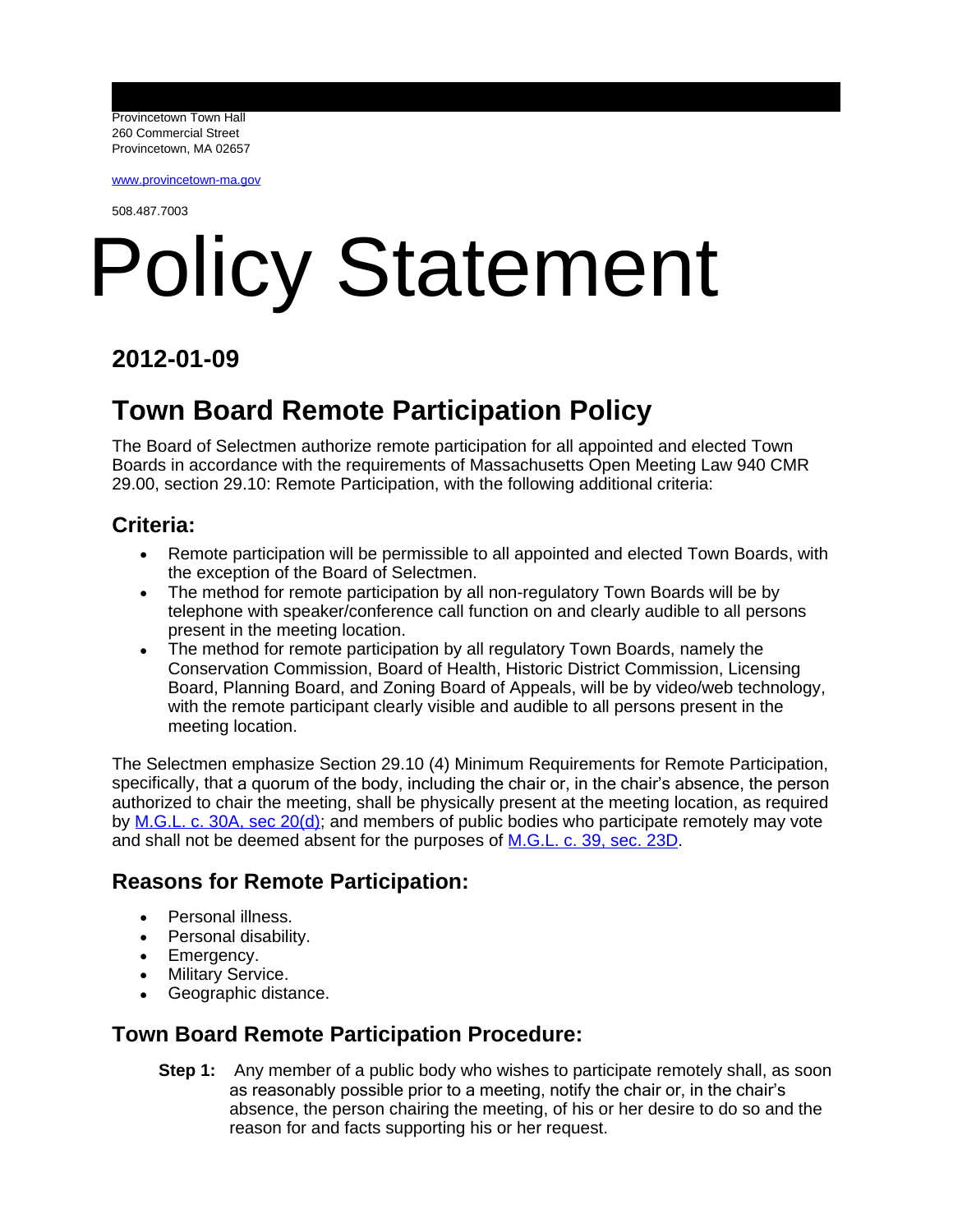Provincetown Town Hall 260 Commercial Street Provincetown, MA 02657

[www.provincetown-ma.gov](http://www.provincetown-ma.gov)

508.487.7003

# Policy Statement

### **2012-01-09**

## **Town Board Remote Participation Policy**

The Board of Selectmen authorize remote participation for all appointed and elected Town Boards in accordance with the requirements of Massachusetts Open Meeting Law 940 CMR 29.00, section 29.10: Remote Participation, with the following additional criteria:

#### **Criteria:**

- Remote participation will be permissible to all appointed and elected Town Boards, with the exception of the Board of Selectmen.
- The method for remote participation by all non-regulatory Town Boards will be by telephone with speaker/conference call function on and clearly audible to all persons present in the meeting location.
- The method for remote participation by all regulatory Town Boards, namely the Conservation Commission, Board of Health, Historic District Commission, Licensing Board, Planning Board, and Zoning Board of Appeals, will be by video/web technology, with the remote participant clearly visible and audible to all persons present in the meeting location.

The Selectmen emphasize Section 29.10 (4) Minimum Requirements for Remote Participation, specifically, that a quorum of the body, including the chair or, in the chair's absence, the person authorized to chair the meeting, shall be physically present at the meeting location, as required by [M.G.L. c. 30A, sec 20\(d\);](http://www.mass.gov/ago/government-resources/open-meeting-law/open-meeting-law-mgl-c-30a-18-25.html) and members of public bodies who participate remotely may vote and shall not be deemed absent for the purposes of [M.G.L. c. 39, sec. 23D.](http://www.malegislature.gov/Laws/GeneralLaws/PartI/TitleVII/Chapter39/Section23d)

#### **Reasons for Remote Participation:**

- Personal illness.
- Personal disability.
- Emergency.
- Military Service.
- Geographic distance.

#### **Town Board Remote Participation Procedure:**

**Step 1:** Any member of a public body who wishes to participate remotely shall, as soon as reasonably possible prior to a meeting, notify the chair or, in the chair's absence, the person chairing the meeting, of his or her desire to do so and the reason for and facts supporting his or her request.